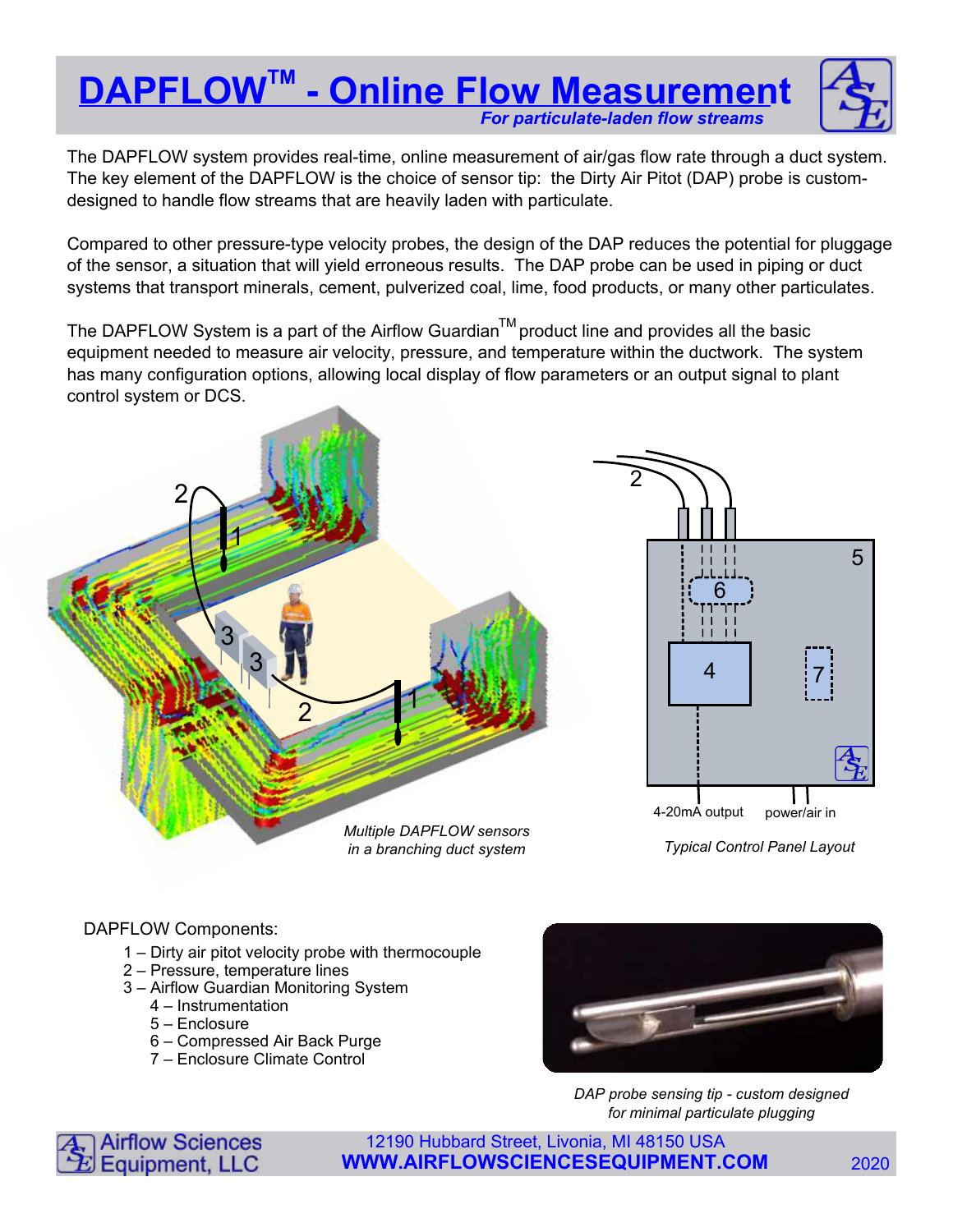# **DAPFLOW™ - Online Flow Measurement** For particulate-laden flow streams



The DAPFLOW system provides real-time, online measurement of air/gas flow rate through a duct system. The key element of the DAPFLOW is the choice of sensor tip: the Dirty Air Pitot (DAP) probe is customdesigned to handle flow streams that are heavily laden with particulate.

Compared to other pressure-type velocity probes, the design of the DAP reduces the potential for pluggage of the sensor, a situation that will yield erroneous results. The DAP probe can be used in piping or duct systems that transport minerals, cement, pulverized coal, lime, food products, or many other particulates.

The DAPFLOW System is a part of the Airflow Guardian $^{\text{\tiny{\textsf{TM}}}}$ product line and provides all the basic equipment needed to measure air velocity, pressure, and temperature within the ductwork. The system has many configuration options, allowing local display of flow parameters or an output signal to plant control system or DCS.



DAPFLOW Components:

- 1 Dirty air pitot velocity probe with thermocouple
- 2 Pressure, temperature lines
- 3 Airflow Guardian Monitoring System
	- 4 Instrumentation
	- 5 Enclosure
	- 6 Compressed Air Back Purge
	- 7 Enclosure Climate Control



DAP probe sensing tip - custom designed for minimal particulate plugging



12190 Hubbard Street, Livonia, MI 48150 USA **WWW.AIRFLOWSCIENCESEQUIPMENT.COM** 2020